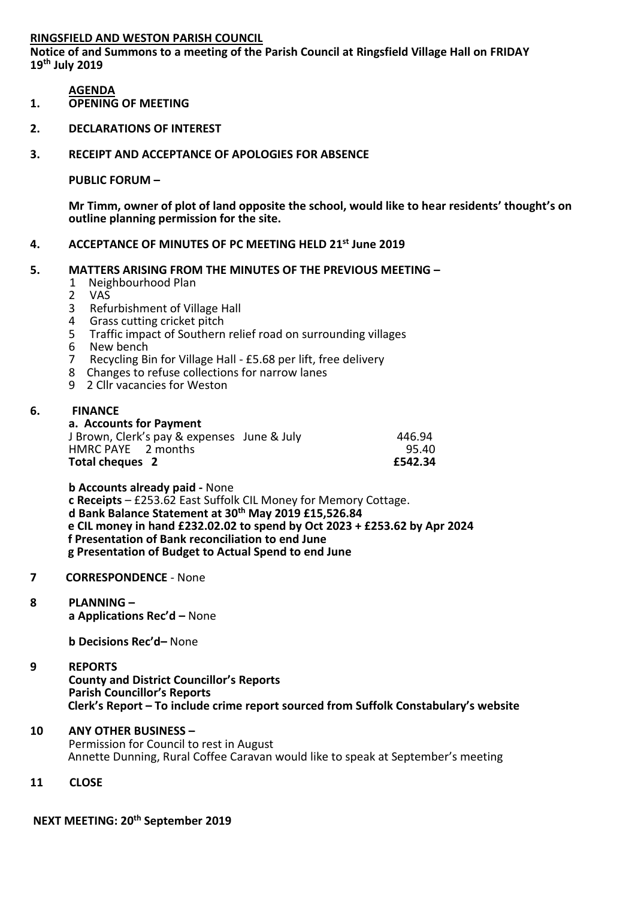# **RINGSFIELD AND WESTON PARISH COUNCIL**

**Notice of and Summons to a meeting of the Parish Council at Ringsfield Village Hall on FRIDAY 19th July 2019**

# **AGENDA**

- **1. OPENING OF MEETING**
- **2. DECLARATIONS OF INTEREST**
- **3. RECEIPT AND ACCEPTANCE OF APOLOGIES FOR ABSENCE**

# **PUBLIC FORUM –**

**Mr Timm, owner of plot of land opposite the school, would like to hear residents' thought's on outline planning permission for the site.**

# **4. ACCEPTANCE OF MINUTES OF PC MEETING HELD 21st June 2019**

# **5. MATTERS ARISING FROM THE MINUTES OF THE PREVIOUS MEETING –**

- 1 Neighbourhood Plan<br>2 VAS
- 2 VAS
- 3 Refurbishment of Village Hall
- 4 Grass cutting cricket pitch<br>5 Traffic impact of Southern
- 5 Traffic impact of Southern relief road on surrounding villages<br>6 New bench
- 6 New bench<br>7 Recycling Bi
- 7 Recycling Bin for Village Hall £5.68 per lift, free delivery
- 8 Changes to refuse collections for narrow lanes
- 9 2 Cllr vacancies for Weston

# **6. FINANCE**

### **a. Accounts for Payment**

| Total cheques 2                             | £542.34 |
|---------------------------------------------|---------|
| HMRC PAYE 2 months                          | 95.40   |
| J Brown, Clerk's pay & expenses June & July | 446.94  |

**b Accounts already paid -** None **c Receipts** – £253.62 East Suffolk CIL Money for Memory Cottage. **d Bank Balance Statement at 30th May 2019 £15,526.84 e CIL money in hand £232.02.02 to spend by Oct 2023 + £253.62 by Apr 2024 f Presentation of Bank reconciliation to end June g Presentation of Budget to Actual Spend to end June**

#### **7 CORRESPONDENCE** - None

# **8 PLANNING –**

**a Applications Rec'd –** None

**b Decisions Rec'd–** None

# **9 REPORTS**

**County and District Councillor's Reports Parish Councillor's Reports Clerk's Report – To include crime report sourced from Suffolk Constabulary's website**

- **10 ANY OTHER BUSINESS –** Permission for Council to rest in August Annette Dunning, Rural Coffee Caravan would like to speak at September's meeting
- **11 CLOSE**

# **NEXT MEETING: 20th September 2019**